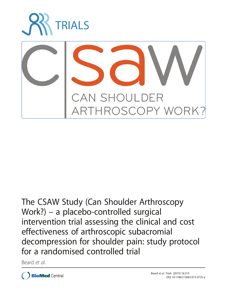

The CSAW Study (Can Shoulder Arthroscopy Work?) – a placebo-controlled surgical intervention trial assessing the clinical and cost effectiveness of arthroscopic subacromial decompression for shoulder pain: study protocol for a randomised controlled trial

Beard et al.

**BioMed Central**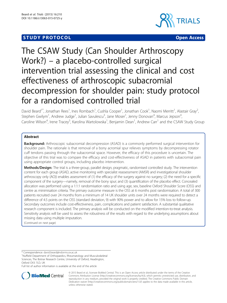# **STUDY PROTOCOL CONSUMING THE CONSUMING OPEN ACCESS**





# The CSAW Study (Can Shoulder Arthroscopy Work?) – a placebo-controlled surgical intervention trial assessing the clinical and cost effectiveness of arthroscopic subacromial decompression for shoulder pain: study protocol for a randomised controlled trial

David Beard<sup>1\*</sup>, Jonathan Rees<sup>1</sup>, Ines Rombach<sup>1</sup>, Cushla Cooper<sup>1</sup>, Jonathan Cook<sup>1</sup>, Naomi Merritt<sup>1</sup>, Alastair Gray<sup>2</sup> , Stephen Gwilym<sup>1</sup>, Andrew Judge<sup>1</sup>, Julian Savulescu<sup>3</sup>, Jane Moser<sup>1</sup>, Jenny Donovan<sup>4</sup>, Marcus Jepson<sup>4</sup> , Caroline Wilson<sup>4</sup>, Irene Tracey<sup>5</sup>, Karolina Wartolowska<sup>1</sup>, Benjamin Dean<sup>1</sup>, Andrew Carr<sup>1</sup> and the CSAW Study Group

# Abstract

**Background:** Arthroscopic subacromial decompression (ASAD) is a commonly performed surgical intervention for shoulder pain. The rationale is that removal of a bony acromial spur relieves symptoms by decompressing rotator cuff tendons passing through the subacromial space. However, the efficacy of this procedure is uncertain. The objective of this trial was to compare the efficacy and cost-effectiveness of ASAD in patients with subacromial pain using appropriate control groups, including placebo intervention.

Methods/Design: The trial is a three-group, parallel design, pragmatic, randomised controlled study. The intervention content for each group (ASAD, active monitoring with specialist reassessment (AMSR) and investigational shoulder arthroscopy only (AO)) enables assessment of (1) the efficacy of the surgery against no surgery; (2) the need for a specific component of the surgery—namely, removal of the bony spur; and (3) quantification of the placebo effect. Concealed allocation was performed using a 1:1:1 randomisation ratio and using age, sex, baseline Oxford Shoulder Score (OSS) and centre as minimisation criteria. The primary outcome measure is the OSS at 6 months post randomisation. A total of 300 patients recruited over 24 months from a minimum of 14 UK shoulder units over 24 months were required to detect a difference of 4.5 points on the OSS (standard deviation, 9) with 90% power and to allow for 15% loss to follow-up. Secondary outcomes include cost-effectiveness, pain, complications and patient satisfaction. A substantial qualitative research component is included. The primary analysis will be conducted on the modified intention-to-treat analysis. Sensitivity analysis will be used to assess the robustness of the results with regard to the underlying assumptions about missing data using multiple imputation.

(Continued on next page)

\* Correspondence: [david.beard@ndorms.ox.ac.uk](mailto:david.beard@ndorms.ox.ac.uk) <sup>1</sup>

Full list of author information is available at the end of the article



© 2015 Beard et al.; licensee BioMed Central. This is an Open Access article distributed under the terms of the Creative Commons Attribution License [\(http://creativecommons.org/licenses/by/4.0\)](http://creativecommons.org/licenses/by/4.0), which permits unrestricted use, distribution, and reproduction in any medium, provided the original work is properly credited. The Creative Commons Public Domain Dedication waiver [\(http://creativecommons.org/publicdomain/zero/1.0/](http://creativecommons.org/publicdomain/zero/1.0/)) applies to the data made available in this article, unless otherwise stated.

Nuffield Department of Orthopaedics, Rheumatology and Musculoskeletal Sciences, The Botnar Research Centre, University of Oxford, Headington, Oxford OX3 7LD, UK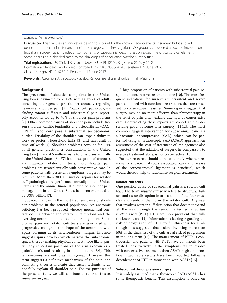# (Continued from previous page)

Discussion: This trial uses an innovative design to account for the known placebo effects of surgery, but it also will delineate the mechanism for any benefit from surgery. The investigational AO group is considered a placebo intervention (not sham surgery), as it includes all components of subacromial decompression except the critical surgical element. Some discussion is also dedicated to the challenges of conducting placebo surgery trials.

Trial registrations: UK Clinical Research Network UKCRN12104. Registered 22 May 2012. International Standard Randomised Controlled Trial [ISRCTN33864128.](http://www.controlled-trials.com/ISRCTN33864128) Registered 22 June 2012. ClinicalTrials.gov [NCT01623011](http://www.clinicaltrials.gov/NCT01623011). Registered 15 June 2012.

Keywords: Acromion, Arthroscopy, Placebo, Randomise, Sham, Shoulder, Trial, Waiting list

# **Background**

The prevalence of shoulder complaints in the United Kingdom is estimated to be 14%, with 1% to 2% of adults consulting their general practitioner annually regarding new-onset shoulder pain [[1\]](#page-15-0). Rotator cuff pathology, including rotator cuff tears and subacromial pain, reportedly accounts for up to 70% of shoulder pain problems [[2\]](#page-15-0). Other common causes of shoulder pain include frozen shoulder, calcific tendonitis and osteoarthritis (OA).

Painful shoulders pose a substantial socioeconomic burden. Disability of the shoulder can impair ability to work or perform household tasks [[3\]](#page-15-0) and can result in time off work [\[4\]](#page-15-0). Shoulder problems account for 2.4% of all general practitioner consultations in the United Kingdom [[5\]](#page-15-0) and 4.5 million visits to physicians annually in the United States [\[6](#page-15-0)]. With the exception of fractures and traumatic rotator cuff tears, most shoulder pain problems are treated initially with conservative care. In some patients with persistent symptoms, surgery may be required. More than 300,000 surgical repairs for rotator cuff pathologies are performed annually in the United States, and the annual financial burden of shoulder pain management in the United States has been estimated to be US\$3 billion [\[7\]](#page-15-0).

Subacromial pain is the most frequent cause of shoulder problems in the general population. An anatomic aetiology has been proposed whereby mechanical contact occurs between the rotator cuff tendons and the overlying acromion and coracohumeral ligament. Subacromial pain and rotator cuff tears are associated with progressive change in the shape of the acromion, with 'spurs' forming at its anteroinferior margin. Evidence suggests spurs develop which narrow the subacromial space, thereby making physical contact more likely, particularly in certain positions of the arm (known as a 'painful arc'), and resulting in inflammation [[8,9\]](#page-15-0). This is sometimes referred to as *impingement*. However, this term suggests a definitive mechanism of the pain, and conflicting theories indicate that such mechanisms do not fully explain all shoulder pain. For the purposes of the present study, we will continue to refer to this as subacromial pain.

A high proportion of patients with subacromial pain respond to conservative treatment alone [\[10\]](#page-15-0). The most frequent indications for surgery are persistent and severe pain combined with functional restrictions that are resistant to conservative measures. Some reports suggest that surgery may be no more effective than physiotherapy in the relief of pain after variable attempts at conservative care. Contradicting these reports are cohort studies describing good outcome after surgery [\[11,12\]](#page-15-0). The most common surgical intervention for subacromial pain is a subacromial decompression (SAD), which can be performed using an arthroscopic SAD (ASAD) approach. An assessment of the cost of treatment of impingement also suggested that the addition of surgery, in comparison to exercise treatment alone, is not cost-effective [[13](#page-15-0)].

Further research should aim to identify whether removal of subacromial spurs associated bursa and release of the coracoacromial ligament is beneficial, which would thereby help to rationalise surgical treatment.

# Rotator cuff tears

One possible cause of subacromial pain is a rotator cuff tear. The term *rotator cuff tear* refers to structural failure and tissue disruption in at least one of the four muscles and tendons that form the rotator cuff. Any tear that involves rotator cuff disruption that does not extend all the way through the tendon is termed a *partial* thickness tear (PTT). PTTs are more prevalent than fullthickness tears [\[14](#page-15-0)]. Information is lacking regarding the risk of progression of PTTs to full-thickness tears, although it is suggested that lesions involving more than 50% of the thickness of the cuff are at risk of progression in the long term [[15](#page-15-0)]. The management of PTTs is controversial, and patients with PTTs have commonly been treated conservatively. If the symptoms fail to resolve with conservative treatment, then ASAD might be beneficial. Favourable results have been reported following debridement of PTT in association with ASAD [[16\]](#page-15-0).

#### Subacromial decompression surgery

It is widely assumed that arthroscopic SAD (ASAD) has some therapeutic benefit. This assumption is based on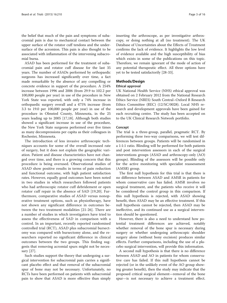the belief that much of the pain and symptoms of subacromial pain is due to mechanical contact between the upper surface of the rotator cuff tendons and the undersurface of the acromion. This pain is also thought to be associated with inflammation of the intervening subacromial bursa.

ASAD has been performed for the treatment of subacromial pain and rotator cuff disease for the last 35 years. The number of ASADs performed by orthopaedic surgeons has increased significantly over time, a fact made remarkable by the absence of any compelling or concrete evidence in support of the procedure. A 254% increase between 1996 and 2006 (from 29.9 to 102.2 per 100,000 people per year) in use of the procedure in New York State was reported, with only a 74% increase in orthopaedic surgery overall and a 475% increase (from 3.3 to 19.0 per 100,000 people per year) in use of the procedure in Olmsted County, Minnesota, in the 25 years leading up to 2005 [[17,18\]](#page-15-0). Although both studies showed a significant increase in use of the procedure, the New York State surgeons performed over five times as many decompressions per capita as their colleagues in Rochester, Minnesota.

The introduction of less invasive arthroscopic techniques accounts for some of the overall increased rate of surgery, but it does not explain the geographic variation. Patient and disease characteristics have not changed over time, and there is a growing concern that this procedure is being overused. Observational studies of ASAD show positive results in terms of pain reduction and functional outcome, with high patient satisfaction rates. However, equally good outcomes have been noted in two studies in which researchers followed patients who had arthroscopic rotator cuff debridement or open rotator cuff repair in the absence of SAD [\[19,20](#page-15-0)]. Furthermore, comparative studies of ASAD versus nonoperative treatment options, such as physiotherapy, have not shown any significant difference in outcomes between the two treatment modalities [\[21](#page-15-0)-[26\]](#page-15-0). There are a number of studies in which investigators have tried to assess the effectiveness of SAD in comparison with a control. In an important, recently reported randomised controlled trial (RCT), ASAD plus subacromial bursectomy was compared with bursectomy alone, and the researchers reported no significant difference in clinical outcomes between the two groups. This finding suggests that removing acromial spurs might not be necessary [[27\]](#page-15-0).

Such studies support the theory that undergoing a surgical intervention for subacromial pain carries a significant placebo effect and that removal of the subacromial spur of bone may not be necessary. Unfortunately, no RCTs have been performed on patients with subacromial pain to show that ASAD is more effective than simply inserting the arthroscope, as per investigative arthroscopy, or doing nothing at all (no treatment). The UK Database of Uncertainties about the Effects of Treatment confirms the lack of evidence. It highlights the low level of evidence available and the high susceptibility of bias which exists in some of the publications on this topic. Therefore, we remain ignorant of the mode of action of any potential therapeutic effect. All three options have yet to be tested satisfactorily [\[28](#page-15-0)-[33\]](#page-15-0).

# Methods/Design

#### Ethical approval

UK National Health Service (NHS) ethical approval was obtained on 2 February 2012 from the National Research Ethics Service (NRES) South Central–Oxford B Research Ethics Committee (REC) (12/SC/0028). Local NHS research and development approvals have been gained for each recruiting centre. The study has been accepted on to the UK Clinical Research Network portfolio.

#### Concept

The trial is a three-group, parallel, pragmatic RCT. By performing three two-way comparisons, we will test differences between groups. Patients will be randomised in a 1:1:1 ratio. Blinding will be performed for both patients and post intervention assessors in each of the surgical interventions groups (ASAD and arthroscopy-only (AO) groups). Blinding of the assessors will be possible only for the active monitoring with specialist reassessment (AMSR) group.

The first null hypothesis for this trial is that there is no difference between ASAD and AMSR in patients for whom conservative care has failed. AMSR involves no surgical treatment, and the patients who receive it will be considered the control group in this comparison. If this null hypothesis is rejected, with ASAD showing benefit, then ASAD may be an effective treatment. If this null hypothesis cannot be rejected, then ASAD may be ineffective, and its continued use as a surgical intervention should be questioned.

However, there is also a need to understand how potential treatment differences are achieved, notably whether removal of the bone spur is necessary during surgery or whether undergoing arthroscopic shoulder surgery alone (without bony excision) produces similar effects. Further comparisons, including the use of a placebo surgical intervention, will provide this information.

A second null hypothesis is that there is no difference between ASAD and AO in patients for whom conservative care has failed. If this null hypothesis cannot be rejected (or in the unlikely event of the AO group showing greater benefit), then the study may indicate that the proposed critical surgical element—removal of the bone spur—is not necessary to achieve a treatment effect.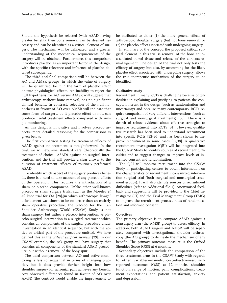Should the hypothesis be rejected (with ASAD having greater benefit), then bone removal can be deemed necessary and can be identified as a critical element of surgery. The mechanism will be delineated, and a greater understanding of the mechanical requirements of the surgery will be obtained. Furthermore, this comparison introduces placebo as an important factor in the design, with the specific relevance and influence of placebo detailed subsequently.

The third and final comparison will be between the AO and AMSR groups, in which the value of surgery will be quantified, be it in the form of placebo effect or true physiological effects. An inability to reject the null hypothesis for AO versus AMSR will suggest that arthroscopy, without bone removal, has no significant clinical benefit. In contrast, rejection of the null hypothesis in favour of AO over AMSR will indicate that some form of surgery, be it placebo effect or not, can produce useful treatment effects compared with simple monitoring.

As this design is innovative and involves placebo aspects, more detailed reasoning for the comparisons is given below.

The first comparison testing for treatment efficacy of ASAD against no treatment is straightforward. In the trial, we will examine standard care (theoretically the treatment of choice—ASAD) against no surgical intervention, and the trial will provide a clear answer to the question of treatment efficacy of routinely performed ASAD.

To identify which aspect of the surgery produces benefit, there is a need to take account of any placebo effects of the operation. This requires the introduction of a sham or placebo component. Unlike other well-known placebo or sham surgery trials, such as the Moseley et al. knee trial for OA [[28\]](#page-15-0),(in which arthroscopic lavage/ debridement was shown to be no better than an entirely sham operative procedure, the placebo for the Can Shoulder Arthroscopy Work? (CSAW) Study is not sham surgery, but rather a placebo intervention. A placebo surgical intervention is a surgical treatment which contains all components of the surgical procedure under investigation in an identical sequence, but with the active or critical part of the procedure omitted. We have defined this as the critical surgical element [[29\]](#page-15-0). In our CSAW example, the AO group will have surgery that contains all components of the standard ASAD procedure, but without removal of the bony spur.

The third comparison between AO and active monitoring is less consequential in terms of changing practice, but it does provide further insight into how shoulder surgery for acromial pain achieves any benefit. Any observed differences found in favour of AO over AMSR (the control) would enable the improvement to

be attributed to either (1) the more general effects of arthroscopic shoulder surgery (but not bone removal) or (2) the placebo effect associated with undergoing surgery.

In summary of the concept, the proposed critical surgical element in this trial is removal of the bone spur– associated bursal tissue and release of the coracoacromial ligament. The design of the trial not only tests the efficacy of surgery but also, by accounting for the likely placebo effect associated with undergoing surgery, allows the true therapeutic mechanism of the surgery to be identified.

#### Qualitative study

Recruitment in many RCTs is challenging because of difficulties in explaining and justifying to patients the concepts inherent in the design (such as randomisation and uncertainty) and because many contemporary RCTs require comparison of very different interventions (such as surgical and nonsurgical treatments) [\[30](#page-15-0)]. There is a dearth of robust evidence about effective strategies to improve recruitment into RCTs [[31\]](#page-15-0). However, qualitative research has been used to understand recruitment into specific RCTs [[32](#page-15-0)-[36\]](#page-16-0) and has been shown to improve recruitment in some cases [[37,38\]](#page-16-0). A qualitative recruitment investigation (QRI) will be integrated into the CSAW Study to identify sources of recruitment difficulties and to suggest changes to improve levels of informed consent and randomisation.

The QRI will monitor recruitment into the CSAW Study in participating centres to obtain information on the characteristics of recruitment into a mixed intervention surgical trial (both surgical and nonsurgical treatment groups). It will also identify sources of recruitment difficulties (refer to Additional file [1\)](#page-14-0). Anonymised feedback and suggestions will be provided to the Chief Investigator (CI) and the Trial Management Group (TMG) to improve the recruitment process, rates of randomisation and informed consent.

#### **Objectives**

The primary objective is to compare ASAD against a nonsurgery arm (the AMSR group) to assess efficacy. In addition, both ASAD surgery and AMSR will be separately compared with investigational shoulder arthroscopy (the AO group) to delineate the mechanism of any benefit. The primary outcome measure is the Oxford Shoulder Score (OSS) at 6 months.

Secondary objectives include the comparison of the three treatment arms in the CSAW Study with regards to other variables—namely, cost-effectiveness, selfreported outcomes (OSS) at 12 months, shoulder function, range of motion, pain, complications, treatment expectations and patient satisfaction, anxiety and depression.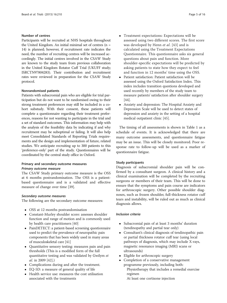# Number of centres

Participants will be recruited at NHS hospitals throughout the United Kingdom. An initial minimal set of centres  $(n =$ 14) is planned; however, if recruitment rate indicates the need, the number of recruiting centres will be increased accordingly. The initial centres involved in the CSAW Study are known to the study team from previous collaboration in the United Kingdom Rotator Cuff Trial (UKUFF study; [ISRCTN97804283](http://www.controlled-trials.com/ISRCTN97804283)). Their contribution and recruitment rates were reviewed in preparation for the CSAW Study protocol.

# Nonrandomised patients

Patients with subacromial pain who are eligible for trial participation but do not want to be randomised owing to their strong treatment preferences may still be included in a cohort substudy. With their consent, these patients will complete a questionnaire regarding their treatment preferences, reasons for not wanting to participate in the trial and a set of standard outcomes. This information may help with the analysis of the feasibility data by indicating if and why recruitment may be suboptimal or failing. It will also help meet Consolidated Standards of Reporting Trials requirements and the design and implementation of future, related studies. We anticipate recruiting up to 300 patients to this 'preference-only' part of the study. Questionnaires will be coordinated by the central study office in Oxford.

# Primary and secondary outcome measures Primary outcome measure

The CSAW Study primary outcome measure is the OSS at 6 months postrandomisation. The OSS is a patientbased questionnaire and is a validated and effective measure of change over time [\[39](#page-16-0)].

# Secondary outcome measures

The following are the secondary outcome measures:

- OSS at 12 months postrandomisation
- Constant-Murley shoulder score: assesses shoulder function and range of motion and is commonly used by health care practitioners [\[40\]](#page-16-0)
- PainDETECT: a patient-based screening questionnaire used to predict the prevalence of neuropathic pain components that has been widely used in many areas of musculoskeletal care [[41](#page-16-0)]
- Quantitative sensory testing: measures pain and pain thresholds (This is a modified form of the full quantitative testing and was validated by Gwilym et al. in 2009 [[42](#page-16-0)].)
- Complications during and after the treatment.
- EQ-5D: a measure of general quality of life
- Health service use: measures the cost utilisation associated with the treatments
- Treatment expectations: Expectations will be assessed using two different scores. The first score was developed by Henn et al. [[43](#page-16-0)] and is calculated using the Treatment Expectations Questionnaire. This questionnaire asks six general questions about pain and function. More shoulder-specific expectations will be predicted by asking patients to state how they expect to feel and function in 12 months' time using the OSS.
- Patient satisfaction: Patient satisfaction will be assessed using the Oxford Satisfaction Index. This index includes transition questions developed and used recently by members of the study team to measure patients' satisfaction after shoulder surgery [[44](#page-16-0)].
- Anxiety and depression: The Hospital Anxiety and Depression Scale will be used to detect states of depression and anxiety in the setting of a hospital medical outpatient clinic [\[45](#page-16-0)].

The timing of all assessments is shown in Table [1](#page-6-0) as a schedule of events. It is acknowledged that there are many outcome assessments, and questionnaire fatigue may be an issue. This will be closely monitored. Poor response rate to follow-up will be used as a marker of questionnaire fatigue.

#### Study participants

Diagnosis of subacromial shoulder pain will be confirmed by a consultant surgeon. A clinical history and a clinical examination will be completed by the recruiting surgeons or members of their team. This will be done to ensure that the symptoms and pain course are indicators for arthroscopic surgery. Other possible shoulder diagnoses, such as frozen shoulder, full-thickness rotator cuff tears and instability, will be ruled out as much as clinical diagnosis allows.

# Inclusion criteria

- Subacromial pain of at least 3 months' duration (tendinopathy and partial tear only)
- Consultant's clinical diagnosis of tendinopathic pain or partial thickness rotator cuff tear (using local pathways of diagnosis, which may include X-rays, magnetic resonance imaging (MRI) scans or ultrasounds)
- Eligible for arthroscopic surgery
- Completion of a conservative management programme previously, including both: Physiotherapy that includes a remedial exercise regimen
	- At least one cortisone injection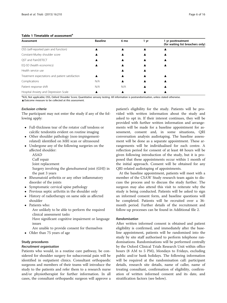# <span id="page-6-0"></span>Table 1 Timetable of assessment<sup>a</sup>

| Assessment                                      | <b>Baseline</b> | 6 mo | 1 yr | 1 yr posttreatment<br>(for waiting list breachers only) |
|-------------------------------------------------|-----------------|------|------|---------------------------------------------------------|
| OSS (self-reported pain and function)           |                 |      |      |                                                         |
| Constant-Murley shoulder score                  |                 |      |      |                                                         |
| OST and PainDETECT                              |                 |      |      |                                                         |
| EQ-5D (health economics)                        |                 |      |      |                                                         |
| Health service use                              |                 |      |      |                                                         |
| Treatment expectations and patient satisfaction |                 |      |      |                                                         |
| Complications                                   | N/A             |      |      |                                                         |
| Patient response shift                          | N/A             | N/A  |      |                                                         |
| Hospital Anxiety and Depression Scale           |                 |      |      |                                                         |

a N/A, Not applicable; OSS, Oxford Shoulder Score; Quantitative sensory testing. All information is postrandomisation, unless stated otherwise. ▲Outcome measure to be collected at this assessment.

#### Exclusion criteria

The participant may not enter the study if any of the following apply:

- Full-thickness tear of the rotator cuff tendons or calcific tendonitis evident on routine imaging
- Other shoulder pathology (non-impingementrelated) identified on MRI scan or ultrasound
- Undergone any of the following surgeries on the affected shoulder:
	- ASAD
	- Cuff repair
	- Joint replacement
	- Surgery involving the glenohumeral joint (GHJ) in the past 3 years
- Rheumatoid arthritis or any other inflammatory disorder of the joints
- Symptomatic cervical spine pathology
- Previous septic arthritis in the shoulder only
- History of radiotherapy on same side as affected shoulder
- Patients who:

Are unlikely to be able to perform the required clinical assessment tasks

Have significant cognitive impairment or language issues

Are unable to provide consent for themselves

• Older than 75 years of age

# Study procedures

# Recruitment organisation

Patients who would, in a routine care pathway, be considered for shoulder surgery for subacromial pain will be identified in outpatient clinics. Consultant orthopaedic surgeons and members of their teams will introduce the study to the patients and refer them to a research nurse and/or physiotherapist for further information. In all cases, the consultant orthopaedic surgeon will approve a

patient's eligibility for the study. Patients will be provided with written information about the study and asked to opt in. If their interest continues, they will be provided with further written information and arrangements will be made for a baseline appointment for assessment, consent and, in some situations, QRI conversation analysis audiotaping. The baseline assessment will be done as a separate appointment. These arrangements will be individualised for each centre. A reflection period for consent of at least 48 hours will be given following introduction of the study, but it is proposed that these appointments occur within 1 month of the initial approach. Consent will be obtained for any QRI-related audiotaping of appointments.

At the baseline appointment, patients will meet with a member of the CSAW Study research team again to discuss the process and to discuss the study further. The surgeon may also attend this visit to reiterate why the study is being conducted. Patients will be asked to sign an informed consent form, and baseline questions will be completed. Patients will be recruited over a 36 month period. Further details of the recruitment and follow-up processes can be found in Additional file [2.](#page-14-0)

#### Randomisation

After written informed consent is obtained and patient eligibility is confirmed, and immediately after the baseline appointment, patients will be randomised into the study by site staff authorised to perform telephone randomisations. Randomisations will be performed centrally by the Oxford Clinical Trials Research Unit within office hours (8 AM to 5 PM), Mondays to Fridays, excluding public and/or bank holidays. The following information will be required at the randomisation call: participant details, research site details, name of caller, name of treating consultant, confirmation of eligibility, confirmation of written informed consent and its date, and stratification factors (see below).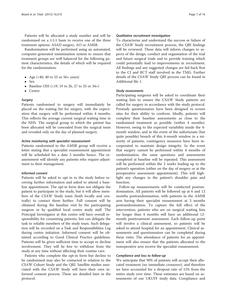Patients will be allocated a study number and will be randomised on a 1:1:1 basis to receive one of the three treatment options: ASAD surgery, AO or AMSR.

Randomisation will be performed using an automated, computer-generated minimisation system to ensure that treatment groups are well balanced for the following patient characteristics, the details of which will be required for the randomisation:

- Age ( $<40$ , 40 to 55 or 56+ years)
- Sex
- Baseline OSS (<19, 19 to 26, 27 to 33 or 34+)
- Centre

# **Surgery**

Patients randomised to surgery will immediately be placed on the waiting list for surgery, with the expectation that surgery will be performed within 4 months. This reflects the average current surgical waiting time in the NHS. The surgical group to which the patient has been allocated will be concealed from the surgical team and revealed only on the day of planned surgery.

#### Active monitoring with specialist reassessment

Patients randomised to the AMSR group will receive a letter stating that a specialist reassessment appointment will be scheduled for a date 3 months hence. The reassessment will identify any patients who require adjustment to their management.

# Informed consent

Patients will be asked to opt in to the study before receiving further information and asked to attend a baseline appointment. The opt-in form does not obligate the patient to participate in the study, but it will allow members of the CSAW Study team (both locally and centrally) to contact them further. Full consent will be obtained during the baseline visit by the participating surgeon or by qualified local centre study staff. The Principal Investigator at this centre will have overall responsibility for consenting patients, but can delegate the task to reliable members of the study team. Such delegation will be recorded on a Task and Responsibilities Log during centre initiation. Informed consent will be obtained according to Good Clinical Practice guidelines. Patients will be given sufficient time to accept or decline involvement. They will be free to withdraw from the study at any time without affecting their routine care.

Patients who complete the opt-in form but decline to be randomised may also be contacted in relation to the CSAW Cohort Study and the QRI. Satellite studies associated with the CSAW Study will have their own informed consent process. These are detailed later in the protocol.

#### Qualitative recruitment investigation

To characterise and understand the success or failure of the CSAW Study recruitment process, the QRI findings will be reviewed. These data will inform changes to aspects of the design, conduct and organisation of the trial and future surgical trials and to provide training which could potentially lead to improvements in recruitment. All findings and any suggested changes are fed back first to the CI and RCT staff involved in the TMG. Further details of the CSAW Study QRI process can be found in Additional file [1](#page-14-0).

#### Study assessments

Participating surgeons will be asked to coordinate their waiting lists to ensure the CSAW Study patients are called for surgery in accordance with the study protocol. Prestudy questionnaires have been designed to screen sites for their ability to conform. Ideally, patients will complete their baseline assessments as close to the randomised treatment as possible (within 4 months). However, owing to the expected variability inside the 4 month window, and in the event of the unfortunate (but quite possible) breach of this 4-month window in a minority of patients, contingency measures have been incorporated to maintain design integrity. In the event that surgery cannot be performed within 4 months of randomisation, the same questions and assessments completed at baseline will be repeated. This assessment will be performed within the 2 weeks leading up to the patient's operation (either on the day of surgery or at the preoperative assessment appointment). This will highlight any changes in the patient's shoulder pain and function.

Follow-up measurements will be conducted postrandomisation. All patients will be followed up at 6 and 12 months postrandomisation, with patients in the AMSR arm having their specialist reassessment at 3 months postrandomisation. To capture the full effect of the intervention, patients who are on surgical waiting lists for longer than 4 months will have an additional 12 month posttreatment assessment. Each follow-up point will involve a clinical assessment, so patients will be asked to attend hospital for an appointment. Clinical assessments and questionnaires can be completed during these visits. The attendance of patients for an appointment will also ensure that the patients allocated to the nonoperative arm receive the specialist reassessment.

#### Compliance and loss to follow-up

We anticipate that 90% of patients will accept their allocated treatment (no immediate crossover), and therefore we have accounted for a dropout rate of 15% from the entire study over time. These estimates are based on assessments of our UKUFF study data. Compliance and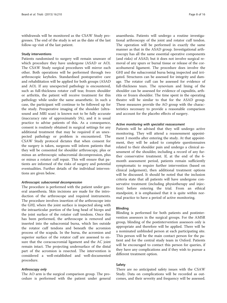withdrawals will be monitored as the CSAW Study progresses. The end of the study is set as the date of the last follow-up visit of the last patient.

#### Study interventions

Patients randomised to surgery will remain unaware of which procedure they have undergone (ASAD or AO). The CSAW Study surgical procedures will mirror each other. Both operations will be performed through two arthroscopic keyholes. Standardised postoperative care and rehabilitation will be applied for both groups (ASAD and AO). If any unexpected pathology is encountered, such as full-thickness rotator cuff tear, frozen shoulder or arthritis, the patient will receive treatment for this pathology while under the same anaesthetic. In such a case, the participant will continue to be followed up for the study. Preoperative imaging of the shoulder (ultrasound and MRI scan) is known not to be fully accurate (inaccuracy rate of approximately 5%), and it is usual practice to advise patients of this. As a consequence, consent is routinely obtained in surgical settings for any additional treatment that may be required if an unexpected pathology or problem is encountered. The CSAW Study protocol dictates that when consent for the surgery is taken, surgeons will inform patients that they will be consented for shoulder arthroscopy, plus or minus an arthroscopic subacromial decompression, plus or minus a rotator cuff repair. This will ensure that patients are informed of the risks of surgery and potential eventualities. Further details of the individual interventions are given below.

#### Arthroscopic subacromial decompression

The procedure is performed with the patient under general anaesthesia. Skin incisions are made for the introduction of the arthroscope and required instruments. The procedure involves insertion of the arthroscope into the GHJ, where the joint surface is inspected along with the intraarticular portion of the long head of biceps and the joint surface of the rotator cuff tendons. Once this has been performed, the arthroscope is removed and inserted into the subacromial bursa, which lies outside the rotator cuff tendons and beneath the acromion process of the scapula. In the bursa, the acromion and superior surface of the rotator cuff are assessed to ensure that the coracoacromial ligament and the AC joint remain intact. The projecting undersurface of the distal part of the acromion is resected. The intervention is considered a well-established and well-documented procedure.

#### Arthroscopy only

The AO arm is the surgical comparison group. The procedure is performed with the patient under general

anaesthesia. Patients will undergo a routine investigational arthroscopy of the joint and rotator cuff tendon. The operation will be performed in exactly the same manner as that in the ASAD group. Investigational arthroscopy has all the same essential operative components (and risks) of ASAD, but it does not involve surgical removal of any spurs or bursal tissue or release of the coracohumeral ligament. The procedure does involve the GHJ and the subacromial bursa being inspected and irrigated. Structures can be assessed for integrity and damage. The rotator cuff can be assessed for evidence of full-thickness tears. The synovium and lining of the shoulder can be assessed for evidence of capsulitis, arthritis or frozen shoulder. The time spent in the operating theatre will be similar to that for the ASAD group. These measures provide the AO group with the characteristics necessary to provide a reasonable comparison and account for the placebo effects of surgery.

# Active monitoring with specialist reassessment

Patients will be advised that they will undergo active monitoring. They will attend a reassessment appointment 3 months after entering the study. At that appointment, they will be asked to complete questionnaires related to their shoulder pain and undergo a clinical assessment of the shoulder, including a record of any further conservative treatment. If, at the end of the 6 month assessment period, patients remain sufficiently symptomatic to require further intervention (based on clinical judgement), then additional treatment options will be discussed. It should be noted that the inclusion criteria state that all patients will have undergone conservative treatment (including physiotherapy and injection) before entering the trial. From an ethical standpoint, it is emphasised that it is quite within normal practice to have a period of active monitoring.

#### Blinding

Blinding is performed for both patients and postintervention assessors in the surgical groups. For the AMSR group, blinding of the postintervention assessors only is appropriate and therefore will be applied. There will be a nominated unblinded person at each participating site. This person will be the main contact person for the patient and for the central study team in Oxford. Patients will be encouraged to contact this person for queries, if they have any complications and if they wish to pursue a different treatment option.

# Safety

There are no anticipated safety issues with the CSAW Study. Data on complications will be recorded as outcomes, and their severity and frequency will be assessed.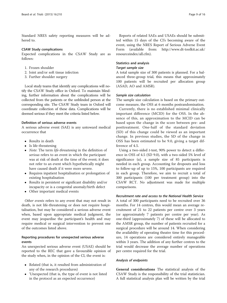Standard NRES safety reporting measures will be adhered to.

# CSAW Study complications

Expected complications in the CSAW Study are as follows:

- 1. Frozen shoulder
- 2. Joint and/or soft tissue infection
- 3. Further shoulder surgery

Local study teams that identify any complications will notify the CSAW Study office in Oxford. To maintain blinding, further information about the complications will be collected from the patients or the unblinded person at the corresponding site. The CSAW Study team in Oxford will coordinate collection of these data. Complications will be deemed serious if they meet the criteria listed below.

## Definition of serious adverse events

A serious adverse event (SAE) is any untoward medical occurrence that

- Results in death
- Is life-threatening
- *Note*: The term *life-threatening* in the definition of serious refers to an event in which the participant was at risk of death at the time of the event; it does not refer to an event which hypothetically might have caused death if it were more severe.
- Requires inpatient hospitalisation or prolongation of existing hospitalisation
- Results in persistent or significant disability and/or incapacity or is a congenital anomaly/birth defect
- Other important medical events

Other events refers to any event that may not result in death, is not life-threatening or does not require hospitalisation, but may be considered a serious adverse event when, based upon appropriate medical judgment, the event may jeopardise the participant's health and may require medical or surgical intervention to prevent one of the outcomes listed above.

# Reporting procedures for unexpected serious adverse events

An unexpected serious adverse event (USAE) should be reported to the REC that gave a favourable opinion of the study when, in the opinion of the CI, the event is:

- Related (that is, it resulted from administration of any of the research procedures)
- 'Unexpected (that is, the type of event is not listed in the protocol as an expected occurrence)

Reports of related SAEs and USAEs should be submitted within 15 days of the CI's becoming aware of the event, using the NRES Report of Serious Adverse Event Form (available from: [http://www.dt-toolkit.ac.uk/](http://www.dt-toolkit.ac.uk/resourceindex/all.cfm) [resourceindex/all.cfm\)](http://www.dt-toolkit.ac.uk/resourceindex/all.cfm).

# Statistics and analysis

# Target sample size

A total sample size of 300 patients is planned. For a balanced three-group trial, this means that approximately 100 patients will be recruited per allocation group (ASAD, AO and AMSR).

#### Sample size calculation

The sample size calculation is based on the primary outcome measure, the OSS at 6 months postrandomisation.

Currently, there is no established minimal clinically important difference (MCID) for the OSS. In the absence of this, an approximation to the MCID can be based upon the change in the score between pre- and posttreatment. One-half of the standard deviation (SD) of this change could be viewed as an important change. In previous studies, the SD of the change in OSS has been estimated to be 9.0, giving a target difference of 4.5.

Using a two-sided  $t$ -test, 90% power to detect a difference in OSS of 4.5 (SD 9.0), with a two-sided 5% level of significance  $(\alpha)$ , a sample size of 85 participants is needed in each group. Accounting for dropouts and loss to follow-up of up to 15%, 100 participants are required in each group. Therefore, we aim to recruit a total of 300 participants (100 per treatment group) into the CSAW RCT. No adjustment was made for multiple comparisons.

# Recruitment rate and access to the National Health Service

A total of 300 participants need to be recruited over 36 months. For 14 centres, this would mean an average recruitment of 21 to 22 patients per centre over 3 years (or approximately 7 patients per centre per year). As one-third (approximately 7) of these will be allocated to the AMSR group, the number of patients recruited for a surgical procedure will be around 14. When considering the availability of operating theatre time for this procedure, 14 operations are considered entirely manageable within 3 years. The addition of any further centres to the trial would decrease the average number of operations per centre required for the trial.

#### Analysis of endpoints

General considerations The statistical analysis of the CSAW Study is the responsibility of the trial statistician. A full statistical analysis plan will be written by the trial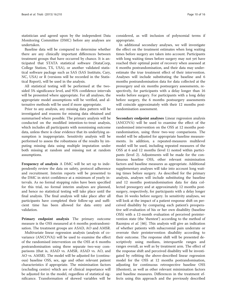statistician and agreed upon by the independent Data Monitoring Committee (DMC) before any analyses are undertaken.

Baseline data will be compared to determine whether there are any clinically important differences between treatment groups that have occurred by chance. It is anticipated that STATA statistical software (StataCorp, College Station, TX, USA), or another validated statistical software package such as SAS (SAS Institute, Cary, NC, USA) or R (versions will be recorded in the Statistical Report), will be used in the analysis.

All statistical testing will be performed at the twosided 5% significance level, and 95% confidence intervals will be presented where appropriate. For all analyses, the appropriate model assumptions will be verified, and alternative methods will be used if more appropriate.

Prior to any analysis, any missing data pattern will be investigated and reasons for missing data obtained and summarised where possible. The primary analysis will be conducted on the modified intention-to-treat analysis, which includes all participants with nonmissing outcome data, unless there is clear evidence that its underlying assumption is inappropriate. Sensitivity analysis will be performed to assess the robustness of the results by imputing missing data using multiple imputation under both missing at random and missing not at random assumptions.

Frequency of analysis A DMC will be set up to independently review the data on safety, protocol adherence and recruitment. Interim reports will be presented to the DMC in strict confidence at a minimum of yearly intervals. As no formal stopping rules have been specified for this trial, no formal interim analyses are planned, and hence no statistical testing will take place until the final analysis. The final analysis will take place after all participants have completed their follow-up and sufficient time has been allowed for data entry and validation.

Primary endpoint analysis The primary outcome measure is the OSS measured at 6 months postrandomisation. The treatment groups are ASAD, AO and AMSR.

Multivariate linear regression analysis (analysis of covariance (ANCOVA)) will be used to examine the effect of the randomised intervention on the OSS at 6 months postrandomisation using three separate two-way comparisons (that is, ASAD vs. AMSR, ASAD vs. AO, and AO vs. AMSR). The model will be adjusted for (continuous) baseline OSS, sex, age and other relevant patient characteristics if appropriate. The minimisation factors (excluding centre) which are of clinical importance will be adjusted for in the model, regardless of statistical significance. Transformation of skewed variables will be considered, as will inclusion of polynomial terms if appropriate.

In additional secondary analyses, we will investigate the effect on the treatment estimates when long waiting times before surgery are taken into account. Participants with long waiting times before surgery may not yet have reached their optimal point of recovery when assessed at 6 months postrandomisation, and their data may underestimate the true treatment effect of their intervention. Analyses will include substituting the baseline and 6 months postrandomisation data for data collected at the presurgery and six months postsurgery assessments, respectively, for participants with a delay longer than 16 weeks before surgery. For participants with a long delay before surgery, the 6 months postsurgery assessments will coincide approximately with their 12 months postrandomisation assessment.

Secondary endpoint analyses Linear regression analysis (ANCOVA) will be used to examine the effect of the randomised intervention on the OSS at 12 months postrandomisation, using three two-way comparisons. The model will be adjusted for appropriate baseline measurements. In addition, a repeated-measures multilevel model will be used, including repeated measures of the OSS at 6 and 12 months (level 1) nested within participants (level 2). Adjustments will be made for the continuous baseline OSS, other relevant minimisation factors and baseline measures as appropriate. Additional supplementary analyses will take into account long waiting times before surgery. As described for the primary analysis, analyses will include substituting the baseline and 12 months postrandomisation data for data collected presurgery and at approximately 12 months postsurgery, respectively, for participants with a delay longer than 16 weeks before surgery. In sensitivity analyses, we will look at the impact of a patient response shift on perceived disability by comparing each patient's preoperative self-evaluation of his or her own disability (baseline OSS) with a 12-month evaluation of perceived preintervention state (the 'thentest') according to the method of Razmjou et al. [[46\]](#page-16-0). This analysis will give an indication of whether patients with subacromial pain underrate or overrate their preintervention disability according to their outcome. The response shift will be presented descriptively using medians, interquartile ranges and ranges overall, as well as by treatment arm. The effect of the response shift and perceived disability will be investigated by refitting the above-described linear regression model for the OSS at 12 months postrandomisation, adjusting for continuous retrospective baseline OSS (thentest), as well as other relevant minimisation factors and baseline measures. Differences in the treatment effects using this approach and the previously described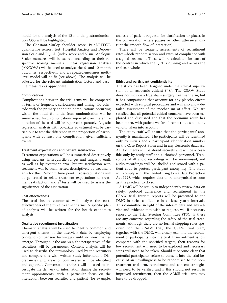model for the analysis of the 12 months postrandomisation OSS will be highlighted.

The Constant-Murley shoulder score, PainDETECT, quantitative sensory test, Hospital Anxiety and Depression Scale and EQ-5D (index score and Visual Analogue Scale) measures will be scored according to their respective scoring manuals. Linear regression analysis (ANCOVA) will be used to analyse the 6- and 12-month outcomes, respectively, and a repeated-measures multilevel model will be fit (see above). The analysis will be adjusted for the relevant minimisation factors and baseline measures as appropriate.

#### Complications

Complications between the trial arms will be compared in terms of frequency, seriousness and timing. To coincide with the primary endpoint, complications occurring within the initial 6 months from randomisation will be summarised first; complications reported over the entire duration of the trial will be reported separately. Logistic regression analysis with covariate adjustment will be carried out to test the difference in the proportion of participants with at least one complication, given sufficient events.

#### Treatment expectations and patient satisfaction

Treatment expectations will be summarised descriptively using medians, interquartile ranges and ranges overall, as well as by treatment arm. Patient satisfaction with treatment will be summarised descriptively by treatment arm for the 12-month time point. Cross-tabulations will be generated to relate treatment expectations to treatment satisfaction, and  $\chi^2$  tests will be used to assess the significance of the association.

# Cost-effectiveness

The trial health economist will analyse the costeffectiveness of the three treatment arms. A specific plan of analysis will be written for the health economics analysis.

#### Qualitative recruitment investigation

Thematic analysis will be used to identify common and emergent themes in the interview data by employing constant comparison techniques until no new themes emerge. Throughout the analysis, the perspectives of the recruiters will be paramount. Content analysis will be used to describe the terminology used by the recruiters and compare this with written study information. Discrepancies and areas of controversy will be identified and explored. Conversation analysis will be used to investigate the delivery of information during the recruitment appointments, with a particular focus on the interaction between recruiter and patient (for example,

analysis of patient requests for clarification or places in the conversation where pauses or other utterances disrupt the smooth flow of interaction).

There will be frequent assessments of recruitment rates—both randomisation and rates of compliance with assigned treatment. These will be calculated for each of the centres in which the QRI is running and across the trial as a whole.

#### Ethics and participant confidentiality

The study has been designed under the ethical supervision of an academic ethicist (J.S.). The CSAW Study does not include a true sham surgery treatment arm, but it has comparisons that account for any placebo effects expected with surgical procedures and will also allow detailed assessment of the mechanism of effect. We are satisfied that all potential ethical concerns have been explored and discussed and that the optimum route has been taken, with patient welfare foremost but with study validity taken into account.

The study staff will ensure that the participants' anonymity is maintained. The participants will be identified only by initials and a participant identification number on the Case Report Form and in any electronic database. All documents will be stored securely and will be accessible only by study staff and authorised personnel. Transcripts of all audio recordings will be anonymised, and audio recordings will be labelled and stored with a patient code to protect participant anonymity. The study will comply with the United Kingdom's Data Protection Act 1998, which requires data to be anonymised as soon as it is practical to do so.

A DMC will be set up to independently review data on safety, protocol adherence and recruitment in the CSAW trial. Interim reports will be presented to the DMC in strict confidence in at least yearly intervals. This committee, in light of the interim data and any advice and evidence they wish to request, will if necessary report to the Trial Steering Committee (TSC) if there are any concerns regarding the safety of the trial treatments. Although there are no formal stopping rules specified for the CSAW trial, the CSAW trial team, together with the DMC, will closely examine the recruitment of participants into the trial. If recruitment is low compared with the specified targets, then reasons for low recruitment will need to be explored and necessary steps will need to be taken. Should it become clear that potential participants refuse to consent into the trial because of an unwillingness to be randomised to the nontreatment trial arm, recruitment and consent strategies will need to be verified and if this should not result in improved recruitment, then the AMSR trial arm may have to be dropped.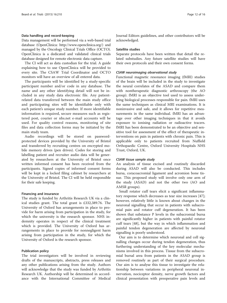#### Data handling and record-keeping

Data management will be performed via a web-based trial database (OpenClinica: [http://www.openclinica.org/\)](http://www.openclinica.org/) and managed by the Oncology Clinical Trials Office (OCTO). OpenClinica is a dedicated and validated clinical trials database designed for remote electronic data capture.

The CI will act as data custodian for the trial. A guide explaining how to use OpenClinica will be provided to every site. The CSAW Trial Coordinator and OCTO monitors will have an overview of all entered data.

The participants will be identified by a study-specific participant number and/or code in any database. The name and any other identifying detail will not be included in any study data electronic file. Any patientrelated data transferred between the main study office and participating sites will be identifiable only with each patient's unique study number. If more identifiable information is required, secure measures such as registered post, courier or nhs.net e-mail accounts will be used. For quality control reasons, monitoring of site files and data collection forms may be initiated by the main study team.

Audio recordings will be stored on passwordprotected devices provided by the University of Bristol and transferred by recruiting centres on encrypted mobile memory drives (pen drives). Codes for storing and labelling patient and recruiter audio data will be generated by researchers at the University of Bristol once written informed consent has been received from the participants. Signed copies of informed consent forms will be kept in a locked filing cabinet by researchers at the University of Bristol. The CI will be held responsible for their safe keeping.

#### Financing and insurance

The study is funded by Arthritis Research UK via a clinical studies grant. The total grant is £332,389.76. The University of Oxford has arrangements in place to provide for harm arising from participation in the study, for which the university is the research sponsor. NHS indemnity operates in respect of the clinical treatment which is provided. The University of Oxford has arrangements in place to provide for nonnegligent harm arising from participation in the study, for which the University of Oxford is the research sponsor.

#### Publication policy

The trial investigators will be involved in reviewing drafts of the manuscripts, abstracts, press releases and any other publications arising from the study. Authors will acknowledge that the study was funded by Arthritis Research UK. Authorship will be determined in accordance with the International Committee of Medical Journal Editors guidelines, and other contributors will be acknowledged.

#### Satellite studies

Separate protocols have been written that detail the related substudies. Any future satellite studies will have their own protocols and their own consent forms.

#### CSAW neuroimaging observational study

Functional magnetic resonance imaging (fMRI) studies of the brain will be included in the study to investigate the neural correlates of the ASAD and compare them with nontherapeutic diagnostic arthroscopy (the AO group). fMRI is an objective tool used to assess underlying biological processes responsible for pain. fMRI uses the same techniques as clinical MRI examinations. It is noninvasive and safe, and it allows for repetitive measurements in the same individual. fMRI has an advantage over other imaging techniques in that it avoids exposure to ionising radiation or radioactive tracers. fMRI has been demonstrated to be an objective and sensitive tool for assessment of the effect of therapeutic interventions on pain in patients with chronic pain. This is applicable only to patients recruited from Nuffield Orthopaedic Centre, Oxford University Hospitals NHS Trust, Oxford, UK.

#### CSAW tissue sample study

An analysis of tissue excised and routinely discarded during ASAD will also be conducted. This includes bursa, coracoacromial ligament and acromion bone tissue. This proposed study will involve only one arm of the study (ASAD) and not the other two (AO and AMSR groups).

Small rotator cuff tears elicit a significant inflammatory response which decreases as tear size increases [\[47](#page-16-0)]; however, relatively little is known about changes in the neuronal signalling that occur in patients with subacromial pain and rotator cuff degeneration. It has been shown that substance P levels in the subacromial bursa are significantly higher in patients with painful rotator cuff tears [[48\]](#page-16-0), but the way in which inflammation and painful tendon degeneration are affected by neuronal signalling is poorly understood.

Our aim is to determine which neuronal and cell signalling changes occur during tendon degeneration, thus furthering understanding of the key molecular mechanisms involved in this process. Tissue from the subacromial bursal area from patients in the ASAD group is removed routinely as part of their surgical procedure. Our aim is to analyse this tissue to investigate the relationship between variations in peripheral neuronal innervation, nociceptor density, nerve growth factors and clinical presentation with preoperative pain levels and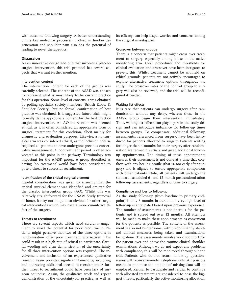with outcome following surgery. A better understanding of the key molecular processes involved in tendon degeneration and shoulder pain also has the potential of leading to novel therapeutics.

## **Discussion**

As an innovative design and one that involves a placebo surgical intervention, this trial protocol has several aspects that warrant further mention.

# Intervention content

The intervention content for each of the groups was carefully selected. The content of the ASAD was chosen to represent what is most likely to be current practice for this operation. Some level of consensus was obtained by polling specialist society members (British Elbow & Shoulder Society), but no formal confirmation of best practice was obtained. It is suggested future trials might formally define appropriate content for the best practice surgical intervention. An AO intervention was deemed ethical, as it is often considered an appropriate form of surgical treatment for this condition, albeit mainly for diagnostic and evaluation purposes. Likewise, a nonsurgical arm was considered ethical, as the inclusion criteria required all patients to have undergone previous conservative management. A nontreatment period is often advocated at this point in the pathway. Terminology was important for the AMSR group. A group described as having 'no treatment' would have been considered to pose a threat to successful recruitment.

# Identification of the critical surgical element

Careful consideration was given to ensuring that the critical surgical element was identified and omitted for the placebo intervention group (AO). Whilst this was relatively straightforward for the CSAW Study (removal of bone), it may not be quite so obvious for other surgical interventions which may have a more cumulative effect of the surgery.

# Threats to recruitment

There are several aspects which need careful management to avoid the potential for poor recruitment. Patients might perceive that two of the three options in randomisation offer poor treatment alternatives. This could result in a high rate of refusal to participate. Careful wording and clear demonstration of the uncertainty for all three intervention options was required. The involvement and inclusion of an experienced qualitative research team provides significant benefit by exploring and addressing additional threats to recruitment. A further threat to recruitment could have been lack of surgeon equipoise. Again, the qualitative work and repeat demonstration of the uncertainty for practice, as well as its efficacy, can help dispel worries and concerns among the surgical investigators.

# Crossover between groups

There is a concern that patients might cross over treatment to surgery, especially among those in the active monitoring arm. Clear procedures and thresholds for clinical evaluation and crossover have been instigated to prevent this. Whilst treatment cannot be withheld on ethical grounds, patients are not actively encouraged to explore alternative treatment options throughout the study. The crossover rates of the control group to surgery will also be reviewed, and the trial will be reconfigured if needed.

# Waiting list effects

It is rare that patients can undergo surgery after randomisation without any delay, whereas those in the AMSR group begin their intervention immediately. Thus, waiting list effects can play a part in the study design and can introduce imbalance for follow-up times between groups. To compensate, additional follow-up assessments, referenced from surgery, have been introduced for patients allocated to surgery. Patients waiting for longer than 4 months for their surgery after randomisation are termed *breachers* and given additional followup appointments. The timing of these appointments ensures their assessment is not done at a time that conflicts with any healing profile (that is, too early after surgery) and is aligned to ensure appropriate comparison with other patients. Note, all patients will undergo the standard, scheduled 6- and 12-month postrandomisation follow-up assessments, regardless of time to surgery.

#### Compliance and loss to follow-up

As the study follow-up (from baseline to primary endpoint) is only 6 months in duration, a very high level of follow-up is anticipated based upon previous experience. The number of assessments is not onerous for the patients and is spread out over 12 months. All attempts will be made to make these appointments as convenient for the patients as possible. The content of the assessment is also not burdensome, with predominantly standard clinical measures being taken and examinations being done. The assessments involve no discomfort for the patient over and above the routine clinical shoulder examinations. Although we do not expect any problems with compliance, this will be monitored throughout the trial. Patients who do not return follow-up questionnaires will receive reminder telephone calls. All possible means to minimise the amount of missing data will be employed. Refusal to participate and refusal to continue with allocated treatment are considered to pose the biggest threats, particularly the active monitoring allocation.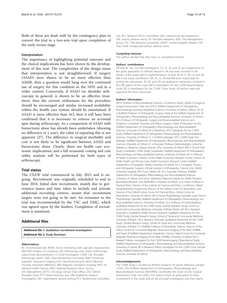<span id="page-14-0"></span>Both of these are dealt with by the contingency plan to convert the trial to a two-arm trial upon completion of the early review stage.

#### Interpretation

The importance of highlighting potential outcome and the clinical implications has been shown by the development of this trial. The complexities of the design mean that interpretation is not straightforward. If surgery (ASAD) were shown to be no more effective than AMSR, then a question would hang over the continued use of surgery for this condition in the NHS and in a wider context. Conversely, if ASAD (or shoulder arthroscopy in general) is shown to be an effective treatment, then the current enthusiasm for the procedure should be encouraged and similar increased availability within the health care system should be entertained. If ASAD is more effective than AO, then it will have been confirmed that it is necessary to remove an acromial spur during arthroscopy. As a comparison of ASAD with bursectomy alone has already been undertaken (showing no difference at 1 year), the value of repeating this is not apparent [[27\]](#page-15-0). The difference in surgical morbidity and cost is not likely to be significant between ASAD and bursectomy alone. Clearly, there are health care economic implications, and a full economic costing and cost utility analysis will be performed for both types of arthroscopy.

# Trial status

The CSAW trial commenced in July 2012 and is ongoing. Recruitment was originally scheduled to end in June 2014. Initial slow recruitment, mainly due to governance issues and time taken to include and activate additional recruiting centres, meant that recruitment targets were not going to be met. An extension to the trial was recommended by the TSC and DMC, which was agreed upon by the funders. Completion of recruitment is imminent.

# Additional files

[Additional file 1:](http://www.trialsjournal.com/content/supplementary/s13063-015-0725-y-s1.docx) Qualitative recruitment investigation. [Additional file 2:](http://www.trialsjournal.com/content/supplementary/s13063-015-0725-y-s2.docx) Study flowchart.

#### Abbreviations

AC: Acromioclavicular; AMSR: Active monitoring with specialist reassessment; ANCOVA: Analysis of covariance; AO: Arthroscopy only; ASAD: Arthroscopic subacromial decompression; CI: Chief Investigator; CSAW: Can Shoulder Arthroscopy Work?; DMC: Data Monitoring Committee; fMRI: Functional magnetic resonance imaging; GHJ: Glenohumeral joint; MCID: Minimal clinically important difference; MRI: Magnetic resonance imaging; NHS: UK National Health Service; NRES: National Research Ethics Service; OA: Osteoarthritis; OCTO: Oncology Clinical Trials Office; OSS: Oxford Shoulder Score; PTT: Partial thickness tear; QRI: Qualitative research investigation; QST: Quantitative sensory testing; RCT: Randomised controlled

trial; REC: Research Ethics Committee; SAD: Subacromial decompression; SAE: Serious adverse event; SD: Standard deviation; TMG: Trial Management Group; TSC: Trial Steering Committee; UKUFF: United Kingdom Rotator Cuff Trial; USAE: Unexpected serious adverse event.

#### Competing interests

The authors declare that they have no competing interests.

#### Authors' contributions

DB and AC are Co-Chief Investigators. CC, JC, SG and AJ are coapplicants on the grant application to Arthritis Research UK and were involved in the design of the study and its implementation, as were JR, IR, IT, AG, JS and JM. NM is the study coordinator. DB, AC, JC, IR and NM were responsible for writing the manuscript. JD, MJ and CW are qualitative researchers involved in the QRI aspect of the study. KW is investigator for the CSAW Neuroimaging Study. BD is investigator for the CSAW Tissue Study. All authors read and approved the final manuscript.

#### Authors' information

DB is Professor of Musculoskeletal Sciences, Co-Director, Royal College of Surgeons Surgical Intervention Trials Unit (SITU), Nuffield Department of Orthopaedics, Rheumatology and Musculoskeletal Sciences, University of Oxford, Oxford, UK. AC is Nuffield Professor of Orthopaedic Surgery, Head of the Nuffield Department of Orthopaedics, Rheumatology and Musculoskeletal Sciences, University of Oxford. JR is Professor of Orthopaedic Surgery and Musculoskeletal Sciences and Academic Consultant Shoulder and Elbow Surgeon, Head of Education for the Nuffield Department of Orthopaedics, Rheumatology and Musculoskeletal Sciences, University of Oxford. IR is Statistician, SITU, Statistician for the CSAW Study, Nuffield Department of Orthopaedics, Rheumatology and Musculoskeletal Sciences, University of Oxford. CC is Portfolio Manager, SITU, CSAW Study Trial Manager, Nuffield Department of Orthopaedics, Rheumatology and Musculoskeletal Sciences, University of Oxford. JC is Associate Professor, Methodologist, Centre for Statistics in Medicine, Deputy Director SITU, University of Oxford. NM is Clinical Trials Study Coordinator, CSAW Study Coordinator, Nuffield Department of Orthopaedics, Rheumatology and Musculoskeletal Sciences, University of Oxford. AG is Professor of Health Economics, Director of the Health Economics Research Centre, Division of Public Health and Primary Care, Health Economics Research Centre, Nuffield Department of Population Health, University of Oxford. SG is Consultant Trauma and Orthopaedic Surgeon, Clinical Lecturer in Orthopaedics, Trauma Unit, Oxford University Hospitals NHS Trust, Oxford, UK. AJ is Associate Professor, Nuffield Department of Orthopaedics, Rheumatology and Musculoskeletal Sciences, University of Oxford, and Senior Statistician, National Institute for Health Research Biomedical Research Unit (NIHR BRU), University of Oxford. JS is Uehiro Professor in Practical Ethics, Director of the Institute for Science and Ethics, Co-Director, Oxford Geoengineering Programme, Director of the Oxford Centre for Neuroethics, and Director of the Oxford Uehiro Centre for Practical Ethics, Oxford Centre for Neuroethics, University of Oxford. JM is Clinical Physiotherapy Specialist, Lead Clinical Physiotherapy Specialist, Nuffield Department of Orthopaedics, Rheumatology and Musculoskeletal Sciences, University of Oxford. JD is Professor of Social Medicine, Qualitative Researcher for the CSAW Study, Quintet Research Group, School of Social and Community Medicine, University of Bristol, Bristol, UK. MJ is Research Associate in Qualitative Health Services Research, Qualitative Researcher for the CSAW Study, Quintet Research Group, School of Social and Community Medicine, University of Bristol. CW is Research Associate, Qualitative Researcher for the CSAW Study, Quintet Research Group, School of Social and Community Medicine, University of Bristol. IT is Nuffield Professor of Anaesthetic Science, Director of the Oxford Centre for Functional Magnetic Resonance Imaging of the Brain (FMRIB) and Head of Nuffield Department Anaesthetic Science, Oxford Centre for Functional Magnetic Resonance Imaging of the Brain (FMRIB), University of Oxford. KW is Research Fellow, Investigator for the CSAW Neuroimaging Observational Study, Nuffield Department of Orthopaedics, Rheumatology and Musculoskeletal Sciences, University of Oxford. BD is Research Fellow, Investigator for the CSAW Tissue Sample Study, Nuffield Department of Orthopaedics, Rheumatology and Musculoskeletal Sciences, University of Oxford.

#### Acknowledgements

The CSAW Study is funded by Arthritis Research UK (grant reference number 19707). The Nuffield Department of Orthopaedics, Rheumatology and Musculoskeletal Sciences (NDORMS) coordinates the study via the Surgical Intervention Trials Unit (SITU). The authors thank all participants for their involvement in the study and all the principal investigators and their teams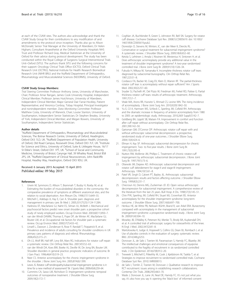<span id="page-15-0"></span>at each of the CSAW sites. The authors also acknowledge and thank the CSAW Study Group for their contributions to any modification of and amendments to the protocol since inception. Thanks also go to Alison McDonald, Senior Trial Manager at the University of Aberdeen; Dr Helen Higham, Consultant Anaesthetist at the Oxford University Hospitals NHS Trust and Professor Richard Gray, Medical Statistician at the University of Oxford for their advice during protocol development. The study has been conducted within the Royal College of Surgeons Surgical Interventional Trials Unit–Oxford (SITU). The authors thank SITU and the following concerns for their support: Oncology Clinical Trials Office (OCTO), Oxford Clinical Trials Research Unit (OCTRU), National Institute for Health Research Biomedical Research Unit (NIHR BRU) and the Nuffield Department of Orthopaedics, Rheumatology and Musculoskeletal Sciences (NDORMS), University of Oxford.

#### CSAW Study Group Members:

Trial Steering Committee: Professor Anthony Jones, University of Manchester, Chair; Professor Amar Rangan, James Cook University Hospital, Independent Clinical Member; Professor James Hutchinson, University of Aberdeen, Independent Clinical Member; Major General Dair Farrar-Hockley, Patient Representative; and Veronica Conboy, Tobay Hospital, Principal Investigator and nonindependent member. Data Monitoring Committee: Professor Matthew Costa, University of Warwick, Chair; Louise Stanton, University of Southampton, Independent Senior Statistician; Dr Stephen Brealey, University of York, Independent Clinical Member; and Megan Bowers, University of Southampton, Independent Senior Statistician.

#### Author details

<sup>1</sup>Nuffield Department of Orthopaedics, Rheumatology and Musculoskeletal Sciences, The Botnar Research Centre, University of Oxford, Headington, Oxford OX3 7LD, UK. <sup>2</sup>Nuffield Department of Population Health, University of Oxford, Old Road Campus, Roosevelt Drive, Oxford OX3 7LF, UK. <sup>3</sup>Institute for Science and Ethics, University of Oxford, Suite 8, Littlegate House, 16/17 St Ebbe's Street, Oxford OX1 1PT, UK. <sup>4</sup>School of Social and Community Medicine, University of Bristol, Canynge Hall, 39 Whatley Road, Bristol BS8 2PS, UK. <sup>5</sup>Nuffield Department of Clinical Neurosciences, John Radcliffe Hospital, Headley Way, Headington, Oxford OX3 9DU, UK.

#### Received: 6 January 2015 Accepted: 15 April 2015 Published online: 09 May 2015

#### References

- Urwin M, Symmons D, Allison T, Brammah T, Busby H, Roxby M, et al. Estimating the burden of musculoskeletal disorders in the community: the comparative prevalence of symptoms at different anatomical sites, and the relation to social deprivation. Ann Rheum Dis. 1998;57(11):649–55.
- 2. Mitchell C, Adebajo A, Hay E, Carr A. Shoulder pain: diagnosis and management in primary care. Br Med J. 2005;331(7525):1124-1128A.
- 3. Harkness EF, Macfarlane GJ, Nahit ES, Silman AJ, McBeth J. Mechanical and psychosocial factors predict new onset shoulder pain: a prospective cohort study of newly employed workers. Occup Environ Med. 2003;60(11):850–7.
- 4. van der Windt DAWM, Thomas E, Pope DP, de Winter AF, Macfarlane GJ, Bouter LM, et al. Occupational risk factors for shoulder pain: a systematic review. Occup Environ Med. 2000;57(7):433–42.
- 5. Linsell L, Dawson J, Zondervan K, Rose P, Randall T, Fitzpatrick R, et al. Prevalence and incidence of adults consulting for shoulder conditions in UK primary care; patterns of diagnosis and referral. Rheumatology. 2006;45(2):215–21.
- 6. Oh LS, Wolf BR, Hall MP, Levy BA, Marx RG. Indications for rotator cuff repair: a systematic review. Clin Orthop Relat Res. 2007;455:52–63.
- 7. van der Windt DA, Koes BW, Boeke AJ, Deville W, De Jong BA, Bouter LM. Shoulder disorders in general practice: prognostic indicators of outcome. Br J Gen Pract. 1996;46(410):519–23.
- 8. Neer CS. Anterior acromioplasty for the chronic impingement syndrome in the shoulder. J Bone Joint Surg Am. 2005;87A(6):1399.
- Lewis JS. Rotator cuff tendinopathy/subacromial impingement syndrome: is it time for a new method of assessment? Br J Sports Med. 2009;43(4):259-64.
- 10. Cummins CA, Sasso LM, Nicholson D. Impingement syndrome: temporal outcomes of nonoperative treatment. J Shoulder Elbow Surg. 2009;18(2):172–7.
- 11. Coghlan JA, Buchbinder R, Green S, Johnston RV, Bell SN. Surgery for rotator cuff disease. Cochrane Database Syst Rev. 2008(1):CD005619. doi: 10.1002/ 14651858.CD005619.pub2.
- 12. Dorrestijn O, Stevens M, Winters JC, van der Meer K, Diercks RL. Conservative or surgical treatment for subacromial impingement syndrome? A systematic review. J Shoulder Elbow Surg. 2009;18(4):652–60.
- 13. Ketola S, Lehtinen J, Arnala I, Nissinen M, Westenius H, Sintonen H, et al. Does arthroscopic acromioplasty provide any additional value in the treatment of shoulder impingement syndrome? A two-year randomised controlled trial. J Bone Joint Surg Br. 2009;91(10):1326–34.
- 14. Fukuda H, Mikasa M, Yamanaka K. Incomplete thickness rotator cuff tears diagnosed by subacromial bursography. Clin Orthop Relat Res. 1987;223:51–8.
- 15. Cordasco FA, Backer M, Craig EV, Klein D, Warren RF. The partial-thickness rotator cuff tear: is acromioplasty without repair sufficient? Am J Sports Med. 2002;30(2):257–60.
- 16. Snyder SJ, Pachelli AF, Del Pizzo W, Friedman MJ, Ferkel RD, Pattee G. Partial thickness rotator cuff tears: results of arthroscopic treatment. Arthroscopy. 1991;7(1):1–7.
- 17. Vitale MA, Arons RR, Hurwitz S, Ahmad CS, Levine WN. The rising incidence of acromioplasty. J Bone Joint Surg Am. 2010;92(9):1842–50.
- 18. Yu E, Cil A, Harmsen WS, Schleck C, Sperling JW, Cofield RH. Arthroscopy and the dramatic increase in frequency of anterior acromioplasty from 1980 to 2005: an epidemiologic study. Arthroscopy. 2010;26(9 Suppl):S142–7.
- 19. Goldberg BA, Lippitt SB, Matsen FA. Improvement in comfort and function after cuff repair without acromioplasty. Clin Orthop Relat Res. 2001;390:142–50.
- 20. Gartsman GM, O'Connor DP. Arthroscopic rotator cuff repair with and without arthroscopic subacromial decompression: a prospective, randomized study of one-year outcomes. J Shoulder Elbow Surg. 2004;13(4):424–6.
- 21. Ellman H, Kay SP. Arthroscopic subacromial decompression for chronic impingement. Two- to five-year results. J Bone Joint Surg Br. 1991;73(3):395–8.
- 22. Nutton RW, McBirnie JM, Phillips C. Treatment of chronic rotator-cuff impingement by arthroscopic subacromial decompression. J Bone Joint Surg Br. 1997;79(1):73–6.
- 23. Olsewski JM, Depew AD. Arthroscopic subacromial decompression and rotator cuff debridement for stage-II and stage-III impingement. Arthroscopy. 1994;10(1):61–8.
- 24. Patel VR, Singh D, Calvert PT, Bayley JIL. Arthroscopic subacromial decompression: results and factors affecting outcome. J Shoulder Elbow Surg. 1999;8(3):231–7.
- 25. Checroun AJ, Dennis MG, Zuckerman JD JD. Open versus arthroscopic decompression for subacromial impingement. A comprehensive review of the literature from the last 25 years. Bull Hosp Jt Dis. 1998;57(3):145–51.
- 26. Chin PYK, Sperling JW, Cofield RH, Stuart MJ, Crownhart BS. Anterior acromioplasty for the shoulder impingement syndrome: long-term outcome. J Shoulder Elbow Surg. 2007;16(6):697–700.
- 27. Henkus HE, de Witte PB, Nelissen RGHH, Brand R, van Arkel ERA. Bursectomy compared with acromioplasty in the management of subacromial impingement syndrome: a prospective randomised study. J Bone Joint Surg Br. 2009;91(4):504–10.
- 28. Moseley JB, O'Malley K, Petersen NJ, Menke TJ, Brody BA, Kuykendall DH, et al. A controlled trial of arthroscopic surgery for osteoarthritis of the knee. N Engl J Med. 2002;347(2):81–8.
- 29. Wartolowska K, Judge A, Hopewell S, Collins GS, Dean BJ, Rombach I, et al. Use of placebo controls in the evaluation of surgery: systematic review. BMJ. 2014;348:g3253.
- 30. Donovan JL, de Salis I, Toerien M, Paramasivan S, Hamdy FC, Blazeby JM. The intellectual challenges and emotional consequences of equipoise contributed to the fragility of recruitment in six randomized controlled trials. J Clin Epidemiol. 2014;67(8):912–20.
- 31. Treweek S, Mitchell E, Pitkethly M, Cook J, Kjeldstrom M, Taskila T, et al. Strategies to improve recruitment to randomised controlled trials. Cochrane Database Syst Rev. 2010;1:MR000013.
- 32. de Salis I, Tomlin Z, Toerien M, Donovan J. Qualitative research to improve RCT recruitment: issues arising in establishing research collaborations. Contemp Clin Trials. 2008;29(5):663–70.
- 33. Wade J, Donovan JL, Lane JA, Neal DE, Hamdy FC. It's not just what you say, it's also how you say it: opening the 'black box' of informed consent